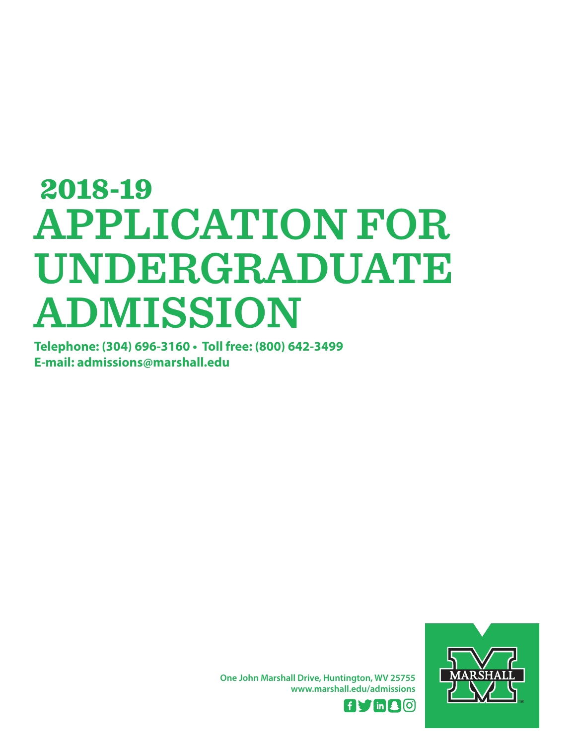# **APPLICATION FOR UNDERGRADUATE ADMISSION** 2018-19

**Telephone: (304) 696-3160 • Toll free: (800) 642-3499 E-mail: admissions@marshall.edu**



**One John Marshall Drive, Huntington, WV 25755 www.marshall.edu/admissions**

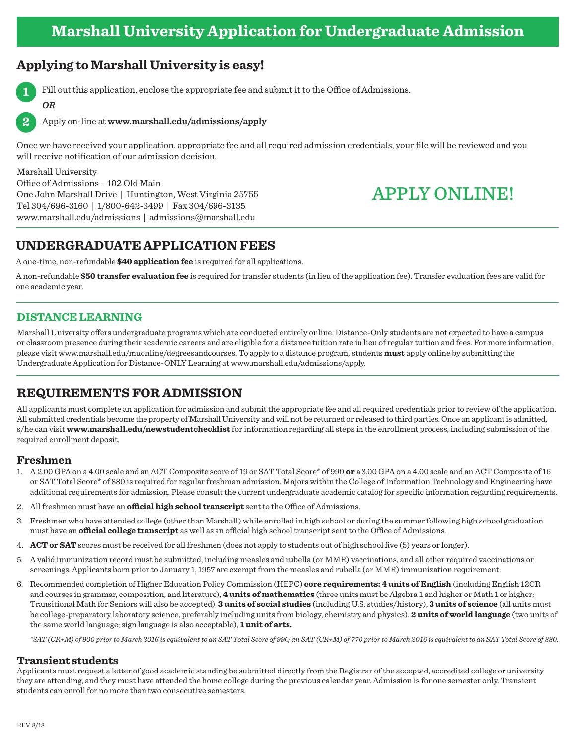# **Applying to Marshall University is easy!**



**2**

*OR*

Fill out this application, enclose the appropriate fee and submit it to the Office of Admissions.

Apply on-line at **www.marshall.edu/admissions/apply**

Once we have received your application, appropriate fee and all required admission credentials, your file will be reviewed and you will receive notification of our admission decision.

Marshall University Office of Admissions – 102 Old Main One John Marshall Drive | Huntington, West Virginia 25755 Tel 304/696-3160 | 1/800-642-3499 | Fax 304/696-3135 www.marshall.edu/admissions | admissions@marshall.edu

# APPLY ONLINE!

# **UNDERGRADUATE APPLICATION FEES**

A one-time, non-refundable **\$40 application fee** is required for all applications.

A non-refundable **\$50 transfer evaluation fee** is required for transfer students (in lieu of the application fee). Transfer evaluation fees are valid for one academic year.

### **DISTANCE LEARNING**

Marshall University offers undergraduate programs which are conducted entirely online. Distance-Only students are not expected to have a campus or classroom presence during their academic careers and are eligible for a distance tuition rate in lieu of regular tuition and fees. For more information, please visit www.marshall.edu/muonline/degreesandcourses. To apply to a distance program, students **must** apply online by submitting the Undergraduate Application for Distance-ONLY Learning at www.marshall.edu/admissions/apply.

# **REQUIREMENTS FOR ADMISSION**

All applicants must complete an application for admission and submit the appropriate fee and all required credentials prior to review of the application. All submitted credentials become the property of Marshall University and will not be returned or released to third parties. Once an applicant is admitted, s/he can visit **www.marshall.edu/newstudentchecklist** for information regarding all steps in the enrollment process, including submission of the required enrollment deposit.

### **Freshmen**

- 1. A 2.00 GPA on a 4.00 scale and an ACT Composite score of 19 or SAT Total Score\* of 990 **or** a 3.00 GPA on a 4.00 scale and an ACT Composite of 16 or SAT Total Score\* of 880 is required for regular freshman admission. Majors within the College of Information Technology and Engineering have additional requirements for admission. Please consult the current undergraduate academic catalog for specific information regarding requirements.
- 2. All freshmen must have an **official high school transcript** sent to the Office of Admissions.
- 3. Freshmen who have attended college (other than Marshall) while enrolled in high school or during the summer following high school graduation must have an **official college transcript** as well as an official high school transcript sent to the Office of Admissions.
- 4. **ACT or SAT** scores must be received for all freshmen (does not apply to students out of high school five (5) years or longer).
- 5. A valid immunization record must be submitted, including measles and rubella (or MMR) vaccinations, and all other required vaccinations or screenings. Applicants born prior to January 1, 1957 are exempt from the measles and rubella (or MMR) immunization requirement.
- 6. Recommended completion of Higher Education Policy Commission (HEPC) **core requirements: 4 units of English** (including English 12CR and courses in grammar, composition, and literature), **4 units of mathematics** (three units must be Algebra 1 and higher or Math 1 or higher; Transitional Math for Seniors will also be accepted), **3 units of social studies** (including U.S. studies/history), **3 units of science** (all units must be college-preparatory laboratory science, preferably including units from biology, chemistry and physics), **2 units of world language** (two units of the same world language; sign language is also acceptable), **1 unit of arts.**

*\*SAT (CR+M) of 900 prior to March 2016 is equivalent to an SAT Total Score of 990; an SAT (CR+M) of 770 prior to March 2016 is equivalent to an SAT Total Score of 880.*

### **Transient students**

Applicants must request a letter of good academic standing be submitted directly from the Registrar of the accepted, accredited college or university they are attending, and they must have attended the home college during the previous calendar year. Admission is for one semester only. Transient students can enroll for no more than two consecutive semesters.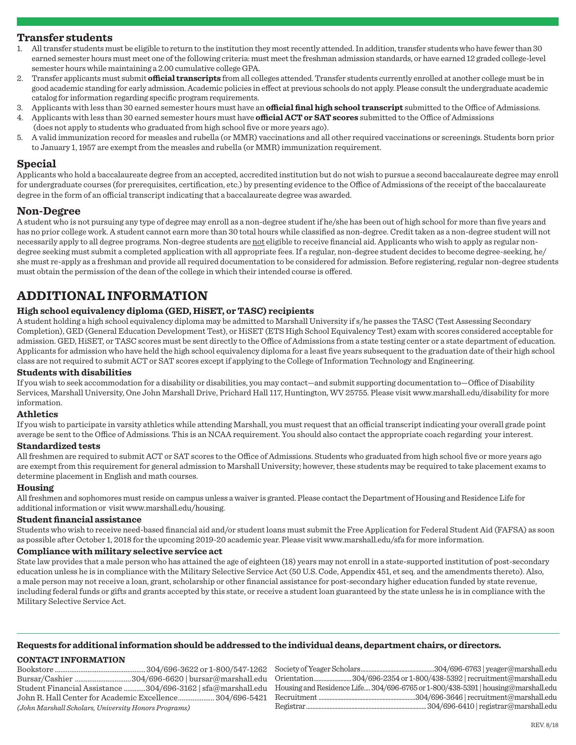### **Transfer students**

- 1. All transfer students must be eligible to return to the institution they most recently attended. In addition, transfer students who have fewer than 30 earned semester hours must meet one of the following criteria: must meet the freshman admission standards, or have earned 12 graded college-level semester hours while maintaining a 2.00 cumulative college GPA.
- 2. Transfer applicants must submit **official transcripts** from all colleges attended. Transfer students currently enrolled at another college must be in good academic standing for early admission. Academic policies in effect at previous schools do not apply. Please consult the undergraduate academic catalog for information regarding specific program requirements.
- 3. Applicants with less than 30 earned semester hours must have an **official final high school transcript** submitted to the Office of Admissions.
- 4. Applicants with less than 30 earned semester hours must have **official ACT or SAT scores** submitted to the Office of Admissions
	- (does not apply to students who graduated from high school five or more years ago).
	- 5. A valid immunization record for measles and rubella (or MMR) vaccinations and all other required vaccinations or screenings. Students born prior to January 1, 1957 are exempt from the measles and rubella (or MMR) immunization requirement.

### **Special**

Applicants who hold a baccalaureate degree from an accepted, accredited institution but do not wish to pursue a second baccalaureate degree may enroll for undergraduate courses (for prerequisites, certification, etc.) by presenting evidence to the Office of Admissions of the receipt of the baccalaureate degree in the form of an official transcript indicating that a baccalaureate degree was awarded.

### **Non-Degree**

A student who is not pursuing any type of degree may enroll as a non-degree student if he/she has been out of high school for more than five years and has no prior college work. A student cannot earn more than 30 total hours while classified as non-degree. Credit taken as a non-degree student will not necessarily apply to all degree programs. Non-degree students are not eligible to receive financial aid. Applicants who wish to apply as regular nondegree seeking must submit a completed application with all appropriate fees. If a regular, non-degree student decides to become degree-seeking, he/ she must re-apply as a freshman and provide all required documentation to be considered for admission. Before registering, regular non-degree students must obtain the permission of the dean of the college in which their intended course is offered.

# **ADDITIONAL INFORMATION**

### **High school equivalency diploma (GED, HiSET, or TASC) recipients**

A student holding a high school equivalency diploma may be admitted to Marshall University if s/he passes the TASC (Test Assessing Secondary Completion), GED (General Education Development Test), or HiSET (ETS High School Equivalency Test) exam with scores considered acceptable for admission. GED, HiSET, or TASC scores must be sent directly to the Office of Admissions from a state testing center or a state department of education. Applicants for admission who have held the high school equivalency diploma for a least five years subsequent to the graduation date of their high school class are not required to submit ACT or SAT scores except if applying to the College of Information Technology and Engineering.

### **Students with disabilities**

If you wish to seek accommodation for a disability or disabilities, you may contact—and submit supporting documentation to—Office of Disability Services, Marshall University, One John Marshall Drive, Prichard Hall 117, Huntington, WV 25755. Please visit www.marshall.edu/disability for more information.

### **Athletics**

If you wish to participate in varsity athletics while attending Marshall, you must request that an official transcript indicating your overall grade point average be sent to the Office of Admissions. This is an NCAA requirement. You should also contact the appropriate coach regarding your interest.

### **Standardized tests**

All freshmen are required to submit ACT or SAT scores to the Office of Admissions. Students who graduated from high school five or more years ago are exempt from this requirement for general admission to Marshall University; however, these students may be required to take placement exams to determine placement in English and math courses.

### **Housing**

All freshmen and sophomores must reside on campus unless a waiver is granted. Please contact the Department of Housing and Residence Life for additional information or visit www.marshall.edu/housing.

### **Student financial assistance**

Students who wish to receive need-based financial aid and/or student loans must submit the Free Application for Federal Student Aid (FAFSA) as soon as possible after October 1, 2018 for the upcoming 2019-20 academic year. Please visit www.marshall.edu/sfa for more information.

### **Compliance with military selective service act**

State law provides that a male person who has attained the age of eighteen (18) years may not enroll in a state-supported institution of post-secondary education unless he is in compliance with the Military Selective Service Act (50 U.S. Code, Appendix 451, et seq. and the amendments thereto). Also, a male person may not receive a loan, grant, scholarship or other financial assistance for post-secondary higher education funded by state revenue, including federal funds or gifts and grants accepted by this state, or receive a student loan guaranteed by the state unless he is in compliance with the Military Selective Service Act.

### **Requests for additional information should be addressed to the individual deans, department chairs, or directors.**

### **CONTACT INFORMATION**

Bookstore ..................................................304/696-3622 or 1-800/547-1262 Bursar/Cashier ...............................304/696-6620 | bursar@marshall.edu Student Financial Assistance ............304/696-3162 | sfa@marshall.edu John R. Hall Center for Academic Excellence.................... 304/696-5421 *(John Marshall Scholars, University Honors Programs)* 

Society of Yeager Scholars...............................................304/696-6763 | yeager@marshall.edu Orientation........................304/696-2354 or 1-800/438-5392 | recruitment@marshall.edu Housing and Residence Life.... 304/696-6765 or 1-800/438-5391 | housing@marshall.edu Recruitment ..............................................................304/696-3646 | recruitment@marshall.edu Registrar.............................................................................304/696-6410 | registrar@marshall.edu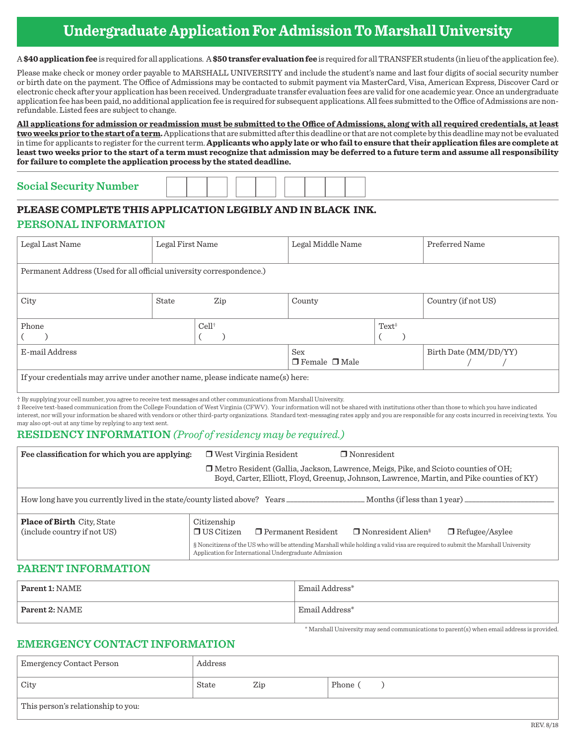# **Undergraduate Application For Admission To Marshall University**

A **\$40 application fee** is required for all applications. A **\$50 transfer evaluation fee** is required for all TRANSFER students (in lieu of the application fee).

Please make check or money order payable to MARSHALL UNIVERSITY and include the student's name and last four digits of social security number or birth date on the payment. The Office of Admissions may be contacted to submit payment via MasterCard, Visa, American Express, Discover Card or electronic check after your application has been received. Undergraduate transfer evaluation fees are valid for one academic year. Once an undergraduate application fee has been paid, no additional application fee is required for subsequent applications. All fees submitted to the Office of Admissions are nonrefundable. Listed fees are subject to change.

**All applications for admission or readmission must be submitted to the Office of Admissions, along with all required credentials, at least two weeks prior to the start of a term.** Applications that are submitted after this deadline or that are not complete by this deadline may not be evaluated in time for applicants to register for the current term. **Applicants who apply late or who fail to ensure that their application files are complete at least two weeks prior to the start of a term must recognize that admission may be deferred to a future term and assume all responsibility for failure to complete the application process by the stated deadline.**

# **Social Security Number**

## **PLEASE COMPLETE THIS APPLICATION LEGIBLY AND IN BLACK INK.**

### **PERSONAL INFORMATION**

| Legal Last Name                                                                  | Legal First Name |                                  | Legal Middle Name |                       | Preferred Name      |  |
|----------------------------------------------------------------------------------|------------------|----------------------------------|-------------------|-----------------------|---------------------|--|
| Permanent Address (Used for all official university correspondence.)             |                  |                                  |                   |                       |                     |  |
| City                                                                             | State            | Zip                              | County            |                       | Country (if not US) |  |
| Phone                                                                            | $Cell^{\dagger}$ |                                  | $Text^*$          |                       |                     |  |
| E-mail Address                                                                   |                  | Sex<br>$\Box$ Female $\Box$ Male |                   | Birth Date (MM/DD/YY) |                     |  |
| If your credentials may arrive under another name, please indicate name(s) here: |                  |                                  |                   |                       |                     |  |

† By supplying your cell number, you agree to receive text messages and other communications from Marshall University.

‡ Receive text-based communication from the College Foundation of West Virginia (CFWV). Your information will not be shared with institutions other than those to which you have indicated interest, nor will your information be shared with vendors or other third-party organizations. Standard text-messaging rates apply and you are responsible for any costs incurred in receiving texts. You may also opt-out at any time by replying to any text sent.

## **RESIDENCY INFORMATION** *(Proof of residency may be required.)*

| Fee classification for which you are applying:                                    | $\Box$ West Virginia Resident<br>$\Box$ Nonresident                                                                                                                                       |
|-----------------------------------------------------------------------------------|-------------------------------------------------------------------------------------------------------------------------------------------------------------------------------------------|
|                                                                                   | □ Metro Resident (Gallia, Jackson, Lawrence, Meigs, Pike, and Scioto counties of OH;<br>Boyd, Carter, Elliott, Floyd, Greenup, Johnson, Lawrence, Martin, and Pike counties of KY)        |
| How long have you currently lived in the state/county listed above? Years________ | Months (if less than 1 year) _________                                                                                                                                                    |
| <b>Place of Birth City, State</b><br>(include country if not US)                  | Citizenship<br>$\Box$ US Citizen<br>$\Box$ Nonresident Alien <sup>§</sup><br>$\Box$ Permanent Resident<br>$\Box$ Refugee/Asylee                                                           |
|                                                                                   | § Noncitizens of the US who will be attending Marshall while holding a valid visa are required to submit the Marshall University<br>Application for International Undergraduate Admission |

### **PARENT INFORMATION**

| $\mid$ Parent 1: NAME | Email Address* |
|-----------------------|----------------|
| $\mid$ Parent 2: NAME | Email Address* |

### **EMERGENCY CONTACT INFORMATION**

| Emergency Contact Person           | Address |     |         |
|------------------------------------|---------|-----|---------|
| City                               | State   | Zip | Phone ( |
| This person's relationship to you: |         |     |         |

\* Marshall University may send communications to parent(s) when email address is provided.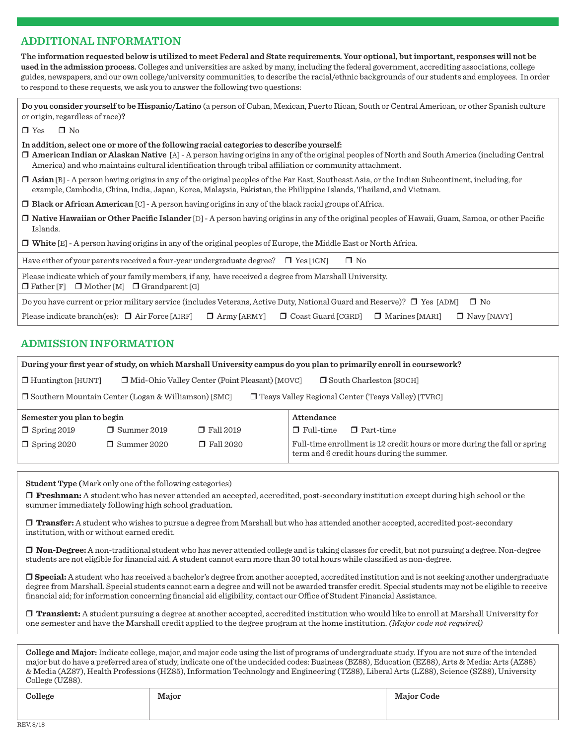### **ADDITIONAL INFORMATION**

**The information requested below is utilized to meet Federal and State requirements. Your optional, but important, responses will not be used in the admission process.** Colleges and universities are asked by many, including the federal government, accrediting associations, college guides, newspapers, and our own college/university communities, to describe the racial/ethnic backgrounds of our students and employees. In order to respond to these requests, we ask you to answer the following two questions:

**Do you consider yourself to be Hispanic/Latino** (a person of Cuban, Mexican, Puerto Rican, South or Central American, or other Spanish culture or origin, regardless of race)**?**

 $\Box$  Yes  $\Box$  No

**In addition, select one or more of the following racial categories to describe yourself:** 

r **American Indian or Alaskan Native** [A] - A person having origins in any of the original peoples of North and South America (including Central America) and who maintains cultural identification through tribal affiliation or community attachment.

r **Asian** [B] - A person having origins in any of the original peoples of the Far East, Southeast Asia, or the Indian Subcontinent, including, for example, Cambodia, China, India, Japan, Korea, Malaysia, Pakistan, the Philippine Islands, Thailand, and Vietnam.

 $\Box$  **Black or African American** [C] - A person having origins in any of the black racial groups of Africa.

r **Native Hawaiian or Other Pacific Islander** [D] - A person having origins in any of the original peoples of Hawaii, Guam, Samoa, or other Pacific Islands.

**T** White [E] - A person having origins in any of the original peoples of Europe, the Middle East or North Africa.

Have either of your parents received a four-year undergraduate degree?  $\Box$  Yes [1GN]  $\Box$  No

Please indicate which of your family members, if any, have received a degree from Marshall University.

 $\Box$  Father [F]  $\Box$  Mother [M]  $\Box$  Grandparent [G]

Do you have current or prior military service (includes Veterans, Active Duty, National Guard and Reserve)?  $\Box$  Yes [ADM]  $\Box$  No

| Please indicate branch(es): $\Box$ Air Force [AIRF] $\Box$ Army [ARMY] $\Box$ Coast Guard [CGRD] $\Box$ Marines [MARI] $\Box$ Navy [NAVY] |  |  |  |  |
|-------------------------------------------------------------------------------------------------------------------------------------------|--|--|--|--|
|-------------------------------------------------------------------------------------------------------------------------------------------|--|--|--|--|

### **ADMISSION INFORMATION**

|                                                                                                                         | During your first year of study, on which Marshall University campus do you plan to primarily enroll in coursework? |                  |                                                                                                                         |  |  |
|-------------------------------------------------------------------------------------------------------------------------|---------------------------------------------------------------------------------------------------------------------|------------------|-------------------------------------------------------------------------------------------------------------------------|--|--|
|                                                                                                                         | $\Box$ Huntington [HUNT]<br>□ Mid-Ohio Valley Center (Point Pleasant) [MOVC]<br>South Charleston [SOCH]             |                  |                                                                                                                         |  |  |
| $\Box$ Southern Mountain Center (Logan & Williamson) [SMC]<br>$\Box$ Teays Valley Regional Center (Teays Valley) [TVRC] |                                                                                                                     |                  |                                                                                                                         |  |  |
|                                                                                                                         | Attendance<br>Semester you plan to begin                                                                            |                  |                                                                                                                         |  |  |
| $\Box$ Spring 2019                                                                                                      | $\Box$ Summer 2019                                                                                                  | $\Box$ Fall 2019 | $\Box$ Full-time<br>$\Box$ Part-time                                                                                    |  |  |
| $\Box$ Spring 2020                                                                                                      | $\Box$ Summer 2020                                                                                                  | $\Box$ Fall 2020 | Full-time enrollment is 12 credit hours or more during the fall or spring<br>term and 6 credit hours during the summer. |  |  |

**Student Type (**Mark only one of the following categories)

r **Freshman:** A student who has never attended an accepted, accredited, post-secondary institution except during high school or the summer immediately following high school graduation.

□ Transfer: A student who wishes to pursue a degree from Marshall but who has attended another accepted, accredited post-secondary institution, with or without earned credit.

**□ Non-Degree:** A non-traditional student who has never attended college and is taking classes for credit, but not pursuing a degree. Non-degree students are not eligible for financial aid. A student cannot earn more than 30 total hours while classified as non-degree.

□ Special: A student who has received a bachelor's degree from another accepted, accredited institution and is not seeking another undergraduate degree from Marshall. Special students cannot earn a degree and will not be awarded transfer credit. Special students may not be eligible to receive financial aid; for information concerning financial aid eligibility, contact our Office of Student Financial Assistance.

r **Transient:** A student pursuing a degree at another accepted, accredited institution who would like to enroll at Marshall University for one semester and have the Marshall credit applied to the degree program at the home institution. *(Major code not required)*

**College and Major:** Indicate college, major, and major code using the list of programs of undergraduate study. If you are not sure of the intended major but do have a preferred area of study, indicate one of the undecided codes: Business (BZ88), Education (EZ88), Arts & Media: Arts (AZ88) & Media (AZ87), Health Professions (HZ85), Information Technology and Engineering (TZ88), Liberal Arts (LZ88), Science (SZ88), University College (UZ88).

| College | Major | <b>Major Code</b> |
|---------|-------|-------------------|
|         |       |                   |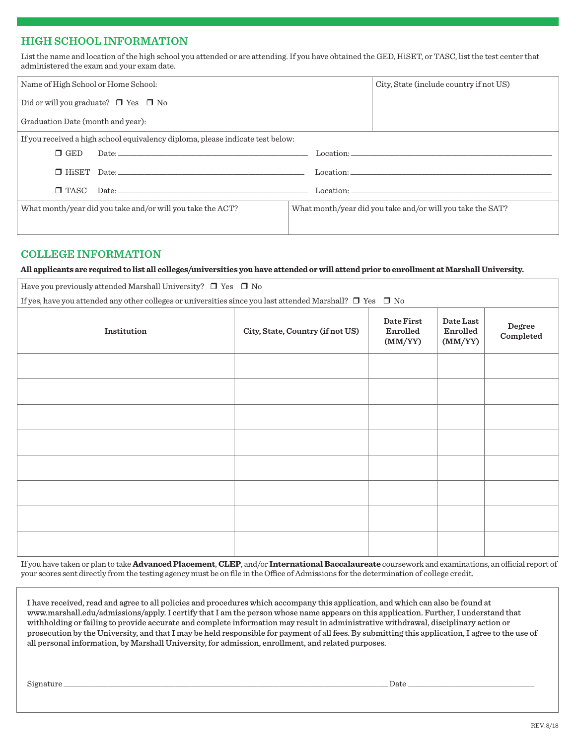### **HIGH SCHOOL INFORMATION**

List the name and location of the high school you attended or are attending. If you have obtained the GED, HiSET, or TASC, list the test center that administered the exam and your exam date.

| Name of High School or Home School:                        |                                                                                                                                                                                                                                |  | City, State (include country if not US)                    |
|------------------------------------------------------------|--------------------------------------------------------------------------------------------------------------------------------------------------------------------------------------------------------------------------------|--|------------------------------------------------------------|
|                                                            | Did or will you graduate? $\Box$ Yes $\Box$ No                                                                                                                                                                                 |  |                                                            |
| Graduation Date (month and year):                          |                                                                                                                                                                                                                                |  |                                                            |
|                                                            | If you received a high school equivalency diploma, please indicate test below:                                                                                                                                                 |  |                                                            |
| $\Box$ GED                                                 | Date: http://www.archive.com/communications/communications/communications/communications/communications/communications/communications/communications/communications/communications/communications/communications/communication |  | Location:                                                  |
|                                                            |                                                                                                                                                                                                                                |  |                                                            |
| $\square$ TASC                                             | Date:                                                                                                                                                                                                                          |  |                                                            |
| What month/year did you take and/or will you take the ACT? |                                                                                                                                                                                                                                |  | What month/year did you take and/or will you take the SAT? |
|                                                            |                                                                                                                                                                                                                                |  |                                                            |

### **COLLEGE INFORMATION**

**All applicants are required to list all colleges/universities you have attended or will attend prior to enrollment at Marshall University.** 

Have you previously attended Marshall University?  $\Box$  Yes  $\Box$  No

|  |  |  |  | If yes, have you attended any other colleges or universities since you last attended Marshall? $\square$ Yes $\square$ No |  |  |  |  |
|--|--|--|--|---------------------------------------------------------------------------------------------------------------------------|--|--|--|--|
|--|--|--|--|---------------------------------------------------------------------------------------------------------------------------|--|--|--|--|

| Institution | City, State, Country (if not US) | Date First<br>Enrolled<br>(MM/YY) | Date Last<br>Enrolled<br>(MM/YY) | Degree<br>Completed |
|-------------|----------------------------------|-----------------------------------|----------------------------------|---------------------|
|             |                                  |                                   |                                  |                     |
|             |                                  |                                   |                                  |                     |
|             |                                  |                                   |                                  |                     |
|             |                                  |                                   |                                  |                     |
|             |                                  |                                   |                                  |                     |
|             |                                  |                                   |                                  |                     |
|             |                                  |                                   |                                  |                     |
|             |                                  |                                   |                                  |                     |

If you have taken or plan to take **Advanced Placement**, **CLEP**, and/or **International Baccalaureate** coursework and examinations, an official report of your scores sent directly from the testing agency must be on file in the Office of Admissions for the determination of college credit.

I have received, read and agree to all policies and procedures which accompany this application, and which can also be found at www.marshall.edu/admissions/apply. I certify that I am the person whose name appears on this application. Further, I understand that withholding or failing to provide accurate and complete information may result in administrative withdrawal, disciplinary action or prosecution by the University, and that I may be held responsible for payment of all fees. By submitting this application, I agree to the use of all personal information, by Marshall University, for admission, enrollment, and related purposes.

Signature \_\_\_\_\_\_\_\_\_\_\_\_\_\_\_\_\_\_\_\_\_\_\_\_\_\_\_\_\_\_\_\_\_\_\_\_\_\_\_\_\_\_\_\_\_\_\_\_\_\_\_\_\_\_\_\_\_\_\_\_\_\_\_\_\_\_\_\_\_\_\_\_\_\_\_\_\_\_\_\_\_\_\_\_\_\_\_ Date \_\_\_\_\_\_\_\_\_\_\_\_\_\_\_\_\_\_\_\_\_\_\_\_\_\_\_\_\_\_\_\_\_\_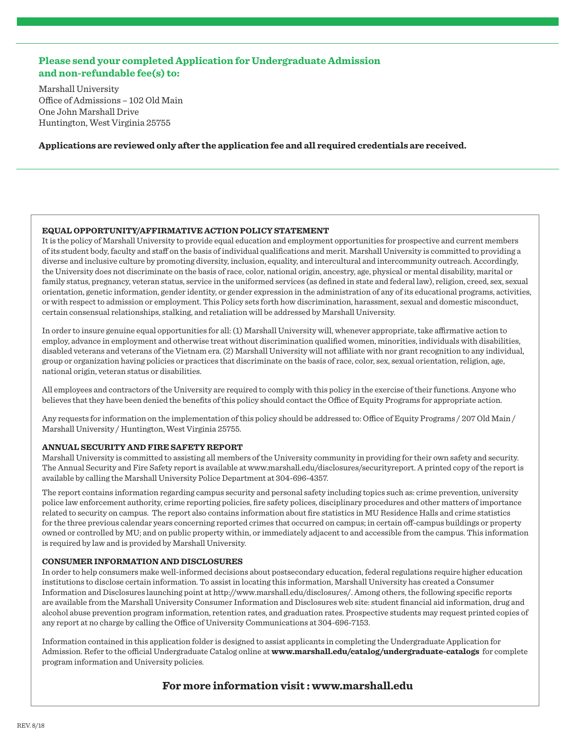### **Please send your completed Application for Undergraduate Admission and non-refundable fee(s) to:**

Marshall University Office of Admissions – 102 Old Main One John Marshall Drive Huntington, West Virginia 25755

**Applications are reviewed only after the application fee and all required credentials are received.** 

### **EQUAL OPPORTUNITY/AFFIRMATIVE ACTION POLICY STATEMENT**

It is the policy of Marshall University to provide equal education and employment opportunities for prospective and current members of its student body, faculty and staff on the basis of individual qualifications and merit. Marshall University is committed to providing a diverse and inclusive culture by promoting diversity, inclusion, equality, and intercultural and intercommunity outreach. Accordingly, the University does not discriminate on the basis of race, color, national origin, ancestry, age, physical or mental disability, marital or family status, pregnancy, veteran status, service in the uniformed services (as defined in state and federal law), religion, creed, sex, sexual orientation, genetic information, gender identity, or gender expression in the administration of any of its educational programs, activities, or with respect to admission or employment. This Policy sets forth how discrimination, harassment, sexual and domestic misconduct, certain consensual relationships, stalking, and retaliation will be addressed by Marshall University.

In order to insure genuine equal opportunities for all: (1) Marshall University will, whenever appropriate, take affirmative action to employ, advance in employment and otherwise treat without discrimination qualified women, minorities, individuals with disabilities, disabled veterans and veterans of the Vietnam era. (2) Marshall University will not affiliate with nor grant recognition to any individual, group or organization having policies or practices that discriminate on the basis of race, color, sex, sexual orientation, religion, age, national origin, veteran status or disabilities.

All employees and contractors of the University are required to comply with this policy in the exercise of their functions. Anyone who believes that they have been denied the benefits of this policy should contact the Office of Equity Programs for appropriate action.

Any requests for information on the implementation of this policy should be addressed to: Office of Equity Programs / 207 Old Main / Marshall University / Huntington, West Virginia 25755.

### **ANNUAL SECURITY AND FIRE SAFETY REPORT**

Marshall University is committed to assisting all members of the University community in providing for their own safety and security. The Annual Security and Fire Safety report is available at www.marshall.edu/disclosures/securityreport. A printed copy of the report is available by calling the Marshall University Police Department at 304-696-4357.

The report contains information regarding campus security and personal safety including topics such as: crime prevention, university police law enforcement authority, crime reporting policies, fire safety polices, disciplinary procedures and other matters of importance related to security on campus. The report also contains information about fire statistics in MU Residence Halls and crime statistics for the three previous calendar years concerning reported crimes that occurred on campus; in certain off-campus buildings or property owned or controlled by MU; and on public property within, or immediately adjacent to and accessible from the campus. This information is required by law and is provided by Marshall University.

### **CONSUMER INFORMATION AND DISCLOSURES**

In order to help consumers make well-informed decisions about postsecondary education, federal regulations require higher education institutions to disclose certain information. To assist in locating this information, Marshall University has created a Consumer Information and Disclosures launching point at http://www.marshall.edu/disclosures/. Among others, the following specific reports are available from the Marshall University Consumer Information and Disclosures web site: student financial aid information, drug and alcohol abuse prevention program information, retention rates, and graduation rates. Prospective students may request printed copies of any report at no charge by calling the Office of University Communications at 304-696-7153.

Information contained in this application folder is designed to assist applicants in completing the Undergraduate Application for Admission. Refer to the official Undergraduate Catalog online at **www.marshall.edu/catalog/undergraduate-catalogs** for complete program information and University policies.

**For more information visit : www.marshall.edu**